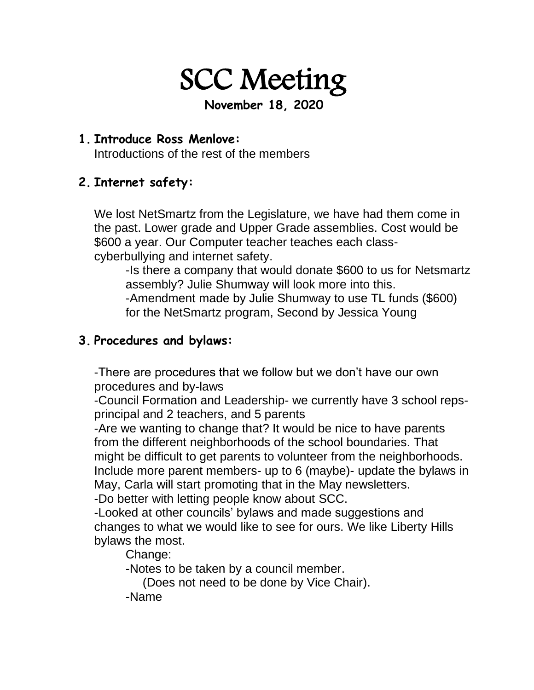SCC Meeting

**November 18, 2020**

#### **1. Introduce Ross Menlove:**

Introductions of the rest of the members

## **2. Internet safety:**

We lost NetSmartz from the Legislature, we have had them come in the past. Lower grade and Upper Grade assemblies. Cost would be \$600 a year. Our Computer teacher teaches each classcyberbullying and internet safety.

-Is there a company that would donate \$600 to us for Netsmartz assembly? Julie Shumway will look more into this. -Amendment made by Julie Shumway to use TL funds (\$600) for the NetSmartz program, Second by Jessica Young

### **3. Procedures and bylaws:**

-There are procedures that we follow but we don't have our own procedures and by-laws

-Council Formation and Leadership- we currently have 3 school repsprincipal and 2 teachers, and 5 parents

-Are we wanting to change that? It would be nice to have parents from the different neighborhoods of the school boundaries. That might be difficult to get parents to volunteer from the neighborhoods. Include more parent members- up to 6 (maybe)- update the bylaws in May, Carla will start promoting that in the May newsletters.

-Do better with letting people know about SCC.

-Looked at other councils' bylaws and made suggestions and changes to what we would like to see for ours. We like Liberty Hills bylaws the most.

Change:

-Notes to be taken by a council member.

(Does not need to be done by Vice Chair).

-Name